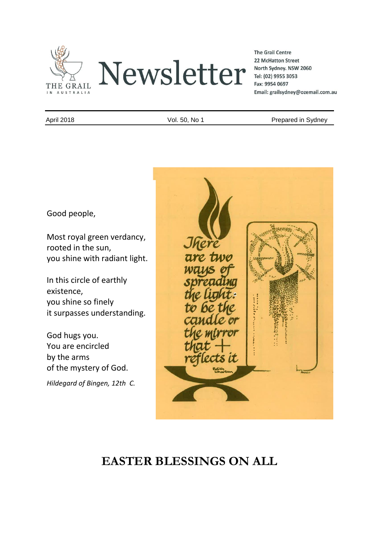

**The Grail Centre** 22 McHatton Street North Sydney. NSW 2060 Tel: (02) 9955 3053 Fax: 9954 0697 Email: grailsydney@ozemail.com.au

April 2018 **April 2018** Vol. 50, No 1 Prepared in Sydney

Good people,

Most royal green verdancy, rooted in the sun, you shine with radiant light.

In this circle of earthly existence, you shine so finely it surpasses understanding.

God hugs you. You are encircled by the arms of the mystery of God.

*Hildegard of Bingen, 12th C.* 



# **EASTER BLESSINGS ON ALL**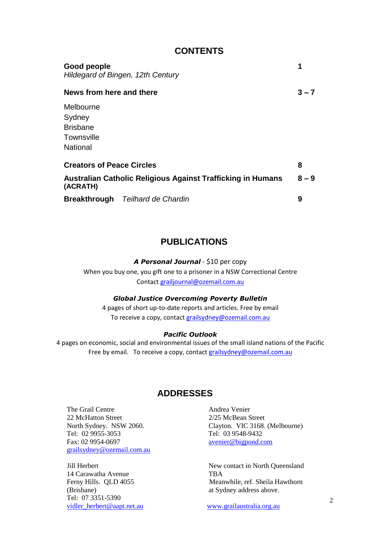| Good people<br>Hildegard of Bingen, 12th Century                               |         |
|--------------------------------------------------------------------------------|---------|
| News from here and there                                                       | $3 - 7$ |
| Melbourne<br>Sydney<br><b>Brisbane</b><br>Townsville<br><b>National</b>        |         |
| <b>Creators of Peace Circles</b>                                               | 8       |
| <b>Australian Catholic Religious Against Trafficking in Humans</b><br>(ACRATH) | $8 - 9$ |
| <b>Breakthrough</b> Teilhard de Chardin                                        | 9       |

**CONTENTS**

## **PUBLICATIONS**

*A Personal Journal* - \$10 per copy

When you buy one, you gift one to a prisoner in a NSW Correctional Centre Contact [grailjournal@ozemail.com.au](mailto:grailjournal@ozemail.com.au)

#### *Global Justice Overcoming Poverty Bulletin*

4 pages of short up-to-date reports and articles. Free by email To receive a copy, contact [grailsydney@ozemail.com.au](mailto:grailsydney@ozemail.com.au)

#### *Pacific Outlook*

4 pages on economic, social and environmental issues of the small island nations of the Pacific Free by email. To receive a copy, contact [grailsydney@ozemail.com.au](mailto:grailsydney@ozemail.com.au)

## **ADDRESSES**

The Grail Centre **Andrea** Venier 22 McHatton Street 2/25 McBean Street Tel: 02 9955-3053 Tel: 03 9548-9432 [grailsydney@ozemail.com.au](mailto:grailsydney@ozemail.com.au)

14 Carawatha Avenue TBA (Brisbane) at Sydney address above. Tel: 07 3351-5390 [vidler\\_herbert@aapt.net.au](mailto:vidler_herbert@aapt.net.au) [www.grailaustralia.org.au](http://www.grailaustralia.org.au/)

North Sydney. NSW 2060. Clayton. VIC 3168. (Melbourne) [avenier@bigpond.com](mailto:avenier@bigpond.com)

NEWSTER **TRA** Jill Herbert New contact in North Queensland Ferny Hills. QLD 4055 Meanwhile, ref. Sheila Hawthorn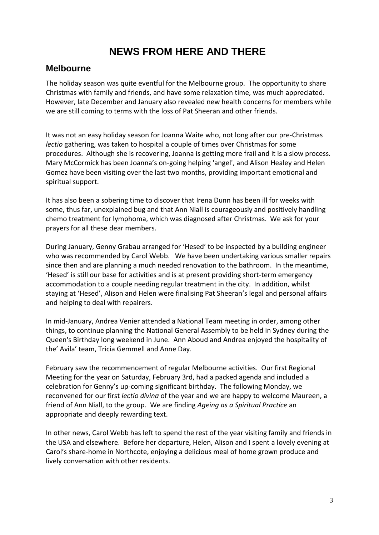## **NEWS FROM HERE AND THERE**

### **Melbourne**

The holiday season was quite eventful for the Melbourne group. The opportunity to share Christmas with family and friends, and have some relaxation time, was much appreciated. However, late December and January also revealed new health concerns for members while we are still coming to terms with the loss of Pat Sheeran and other friends.

It was not an easy holiday season for Joanna Waite who, not long after our pre-Christmas *lectio* gathering, was taken to hospital a couple of times over Christmas for some procedures. Although she is recovering, Joanna is getting more frail and it is a slow process. Mary McCormick has been Joanna's on-going helping 'angel', and Alison Healey and Helen Gomez have been visiting over the last two months, providing important emotional and spiritual support.

It has also been a sobering time to discover that Irena Dunn has been ill for weeks with some, thus far, unexplained bug and that Ann Niall is courageously and positively handling chemo treatment for lymphoma, which was diagnosed after Christmas. We ask for your prayers for all these dear members.

During January, Genny Grabau arranged for 'Hesed' to be inspected by a building engineer who was recommended by Carol Webb. We have been undertaking various smaller repairs since then and are planning a much needed renovation to the bathroom. In the meantime, 'Hesed' is still our base for activities and is at present providing short-term emergency accommodation to a couple needing regular treatment in the city. In addition, whilst staying at 'Hesed', Alison and Helen were finalising Pat Sheeran's legal and personal affairs and helping to deal with repairers.

In mid-January, Andrea Venier attended a National Team meeting in order, among other things, to continue planning the National General Assembly to be held in Sydney during the Queen's Birthday long weekend in June. Ann Aboud and Andrea enjoyed the hospitality of the' Avila' team, Tricia Gemmell and Anne Day.

February saw the recommencement of regular Melbourne activities. Our first Regional Meeting for the year on Saturday, February 3rd, had a packed agenda and included a celebration for Genny's up-coming significant birthday. The following Monday, we reconvened for our first *lectio divina* of the year and we are happy to welcome Maureen, a friend of Ann Niall, to the group. We are finding *Ageing as a Spiritual Practice* an appropriate and deeply rewarding text.

In other news, Carol Webb has left to spend the rest of the year visiting family and friends in the USA and elsewhere. Before her departure, Helen, Alison and I spent a lovely evening at Carol's share-home in Northcote, enjoying a delicious meal of home grown produce and lively conversation with other residents.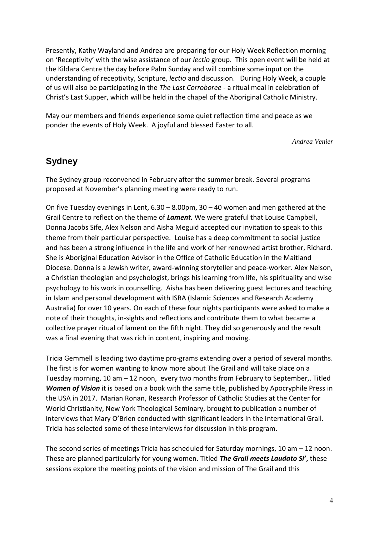Presently, Kathy Wayland and Andrea are preparing for our Holy Week Reflection morning on 'Receptivity' with the wise assistance of our *lectio* group. This open event will be held at the Kildara Centre the day before Palm Sunday and will combine some input on the understanding of receptivity, Scripture, *lectio* and discussion. During Holy Week, a couple of us will also be participating in the *The Last Corroboree* - a ritual meal in celebration of Christ's Last Supper, which will be held in the chapel of the Aboriginal Catholic Ministry.

May our members and friends experience some quiet reflection time and peace as we ponder the events of Holy Week. A joyful and blessed Easter to all.

*Andrea Venier*

## **Sydney**

The Sydney group reconvened in February after the summer break. Several programs proposed at November's planning meeting were ready to run.

On five Tuesday evenings in Lent, 6.30 – 8.00pm, 30 – 40 women and men gathered at the Grail Centre to reflect on the theme of *Lament.* We were grateful that Louise Campbell, Donna Jacobs Sife, Alex Nelson and Aisha Meguid accepted our invitation to speak to this theme from their particular perspective. Louise has a deep commitment to social justice and has been a strong influence in the life and work of her renowned artist brother, Richard. She is Aboriginal Education Advisor in the Office of Catholic Education in the Maitland Diocese. Donna is a Jewish writer, award-winning storyteller and peace-worker. Alex Nelson, a Christian theologian and psychologist, brings his learning from life, his spirituality and wise psychology to his work in counselling. Aisha has been delivering guest lectures and teaching in Islam and personal development with ISRA (Islamic Sciences and Research Academy Australia) for over 10 years. On each of these four nights participants were asked to make a note of their thoughts, in-sights and reflections and contribute them to what became a collective prayer ritual of lament on the fifth night. They did so generously and the result was a final evening that was rich in content, inspiring and moving.

Tricia Gemmell is leading two daytime pro-grams extending over a period of several months. The first is for women wanting to know more about The Grail and will take place on a Tuesday morning, 10 am – 12 noon, every two months from February to September,. Titled *Women of Vision* it is based on a book with the same title, published by Apocryphile Press in the USA in 2017. Marian Ronan, [Research Professor of Catholic Studies](http://http/www.nyts.edu/faculty) at the [Center for](http://http/www.nyts.edu/the-center-for-world-christianity)  [World Christianity,](http://http/www.nyts.edu/the-center-for-world-christianity) [New York Theological Seminary,](http://http/www.nyts.edu/) brought to publication a number of interviews that Mary O'Brien conducted with significant leaders in the International Grail. Tricia has selected some of these interviews for discussion in this program.

The second series of meetings Tricia has scheduled for Saturday mornings, 10 am  $-$  12 noon. These are planned particularly for young women. Titled *The Grail meets Laudato Si'***,** these sessions explore the meeting points of the vision and mission of The Grail and this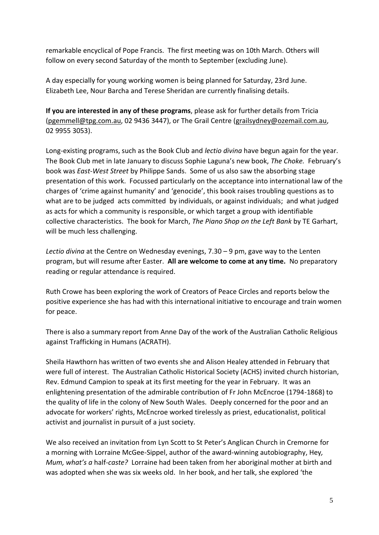remarkable encyclical of Pope Francis. The first meeting was on 10th March. Others will follow on every second Saturday of the month to September (excluding June).

A day especially for young working women is being planned for Saturday, 23rd June. Elizabeth Lee, Nour Barcha and Terese Sheridan are currently finalising details.

**If you are interested in any of these programs**, please ask for further details from Tricia [\(pgemmell@tpg.com.au,](mailto:pgemmell@tpg.com.au) 02 9436 3447), or The Grail Centre [\(grailsydney@ozemail.com.au,](mailto:grailsydney@ozemail.com.au) 02 9955 3053).

Long-existing programs, such as the Book Club and *lectio divina* have begun again for the year. The Book Club met in late January to discuss Sophie Laguna's new book, *The Choke.* February's book was *East-West Street* by Philippe Sands. Some of us also saw the absorbing stage presentation of this work. Focussed particularly on the acceptance into international law of the charges of 'crime against humanity' and 'genocide', this book raises troubling questions as to what are to be judged acts committed by individuals, or against individuals; and what judged as acts for which a community is responsible, or which target a group with identifiable collective characteristics. The book for March, *The Piano Shop on the Left Bank* by TE Garhart, will be much less challenging.

*Lectio divina* at the Centre on Wednesday evenings, 7.30 – 9 pm, gave way to the Lenten program, but will resume after Easter. **All are welcome to come at any time.** No preparatory reading or regular attendance is required.

Ruth Crowe has been exploring the work of Creators of Peace Circles and reports below the positive experience she has had with this international initiative to encourage and train women for peace.

There is also a summary report from Anne Day of the work of the Australian Catholic Religious against Trafficking in Humans (ACRATH).

Sheila Hawthorn has written of two events she and Alison Healey attended in February that were full of interest. The Australian Catholic Historical Society (ACHS) invited church historian, Rev. Edmund Campion to speak at its first meeting for the year in February. It was an enlightening presentation of the admirable contribution of Fr John McEncroe (1794-1868) to the quality of life in the colony of New South Wales. Deeply concerned for the poor and an advocate for workers' rights, McEncroe worked tirelessly as priest, educationalist, political activist and journalist in pursuit of a just society.

We also received an invitation from Lyn Scott to St Peter's Anglican Church in Cremorne for a morning with Lorraine McGee-Sippel, author of the award-winning autobiography, Hey*, Mum, what's a* half*-caste?* Lorraine had been taken from her aboriginal mother at birth and was adopted when she was six weeks old. In her book, and her talk, she explored 'the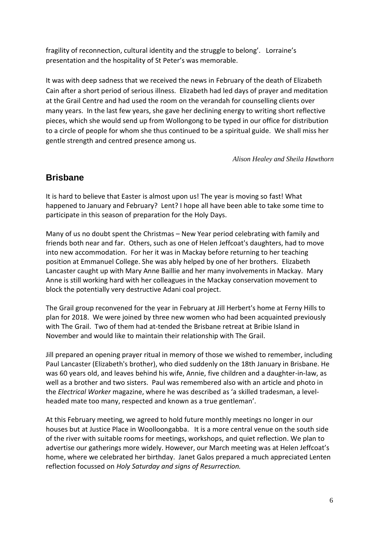fragility of reconnection, cultural identity and the struggle to belong'. Lorraine's presentation and the hospitality of St Peter's was memorable.

It was with deep sadness that we received the news in February of the death of Elizabeth Cain after a short period of serious illness. Elizabeth had led days of prayer and meditation at the Grail Centre and had used the room on the verandah for counselling clients over many years. In the last few years, she gave her declining energy to writing short reflective pieces, which she would send up from Wollongong to be typed in our office for distribution to a circle of people for whom she thus continued to be a spiritual guide. We shall miss her gentle strength and centred presence among us.

*Alison Healey and Sheila Hawthorn*

## **Brisbane**

It is hard to believe that Easter is almost upon us! The year is moving so fast! What happened to January and February? Lent? I hope all have been able to take some time to participate in this season of preparation for the Holy Days.

Many of us no doubt spent the Christmas – New Year period celebrating with family and friends both near and far. Others, such as one of Helen Jeffcoat's daughters, had to move into new accommodation. For her it was in Mackay before returning to her teaching position at Emmanuel College. She was ably helped by one of her brothers. Elizabeth Lancaster caught up with Mary Anne Baillie and her many involvements in Mackay. Mary Anne is still working hard with her colleagues in the Mackay conservation movement to block the potentially very destructive Adani coal project.

The Grail group reconvened for the year in February at Jill Herbert's home at Ferny Hills to plan for 2018. We were joined by three new women who had been acquainted previously with The Grail. Two of them had at-tended the Brisbane retreat at Bribie Island in November and would like to maintain their relationship with The Grail.

Jill prepared an opening prayer ritual in memory of those we wished to remember, including Paul Lancaster (Elizabeth's brother), who died suddenly on the 18th January in Brisbane. He was 60 years old, and leaves behind his wife, Annie, five children and a daughter-in-law, as well as a brother and two sisters. Paul was remembered also with an article and photo in the *Electrical Worker* magazine, where he was described as 'a skilled tradesman, a levelheaded mate too many, respected and known as a true gentleman'.

At this February meeting, we agreed to hold future monthly meetings no longer in our houses but at Justice Place in Woolloongabba. It is a more central venue on the south side of the river with suitable rooms for meetings, workshops, and quiet reflection. We plan to advertise our gatherings more widely. However, our March meeting was at Helen Jeffcoat's home, where we celebrated her birthday. Janet Galos prepared a much appreciated Lenten reflection focussed on *Holy Saturday and signs of Resurrection.*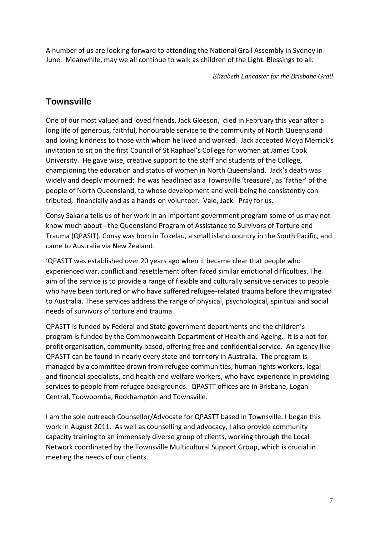A number of us are looking forward to attending the National Grail Assembly in Sydney in June. Meanwhile, may we all continue to walk as children of the Light. Blessings to all.

*Elizabeth Lancaster for the Brisbane Grail*

## **Townsville**

One of our most valued and loved friends, Jack Gleeson, died in February this year after a long life of generous, faithful, honourable service to the community of North Queensland and loving kindness to those with whom he lived and worked. Jack accepted Moya Merrick's invitation to sit on the first Council of St Raphael's College for women at James Cook University. He gave wise, creative support to the staff and students of the College, championing the education and status of women in North Queensland. Jack's death was widely and deeply mourned: he was headlined as a Townsville 'treasure', as 'father' of the people of North Queensland, to whose development and well-being he consistently contributed, financially and as a hands-on volunteer. Vale, Jack. Pray for us.

Consy Sakaria tells us of her work in an important government program some of us may not know much about - the Queensland Program of Assistance to Survivors of Torture and Trauma (QPASIT). Consy was born in Tokelau, a small island country in the South Pacific, and came to Australia via New Zealand.

'QPASTT was established over 20 years ago when it became clear that people who experienced war, conflict and resettlement often faced similar emotional difficulties. The aim of the service is to provide a range of flexible and culturally sensitive services to people who have been tortured or who have suffered refugee-related trauma before they migrated to Australia. These services address the range of physical, psychological, spiritual and social needs of survivors of torture and trauma.

QPASTT is funded by Federal and State government departments and the children's program is funded by the Commonwealth Department of Health and Ageing. It is a not-forprofit organisation, community based, offering free and confidential service. An agency like QPASTT can be found in nearly every state and territory in Australia. The program is managed by a committee drawn from refugee communities, human rights workers, legal and financial specialists, and health and welfare workers, who have experience in providing services to people from refugee backgrounds. QPASTT offices are in Brisbane, Logan Central, Toowoomba, Rockhampton and Townsville.

I am the sole outreach Counsellor/Advocate for QPASTT based in Townsville. I began this work in August 2011. As well as counselling and advocacy, I also provide community capacity training to an immensely diverse group of clients, working through the Local Network coordinated by the Townsville Multicultural Support Group, which is crucial in meeting the needs of our clients.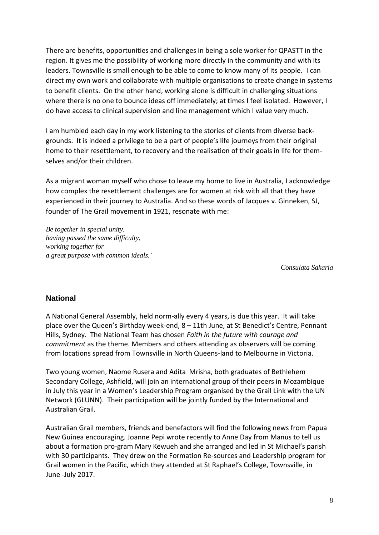There are benefits, opportunities and challenges in being a sole worker for QPASTT in the region. It gives me the possibility of working more directly in the community and with its leaders. Townsville is small enough to be able to come to know many of its people. I can direct my own work and collaborate with multiple organisations to create change in systems to benefit clients. On the other hand, working alone is difficult in challenging situations where there is no one to bounce ideas off immediately; at times I feel isolated. However, I do have access to clinical supervision and line management which I value very much.

I am humbled each day in my work listening to the stories of clients from diverse backgrounds. It is indeed a privilege to be a part of people's life journeys from their original home to their resettlement, to recovery and the realisation of their goals in life for themselves and/or their children.

As a migrant woman myself who chose to leave my home to live in Australia, I acknowledge how complex the resettlement challenges are for women at risk with all that they have experienced in their journey to Australia. And so these words of Jacques v. Ginneken, SJ, founder of The Grail movement in 1921, resonate with me:

*Be together in special unity. having passed the same difficulty, working together for a great purpose with common ideals.'*

*Consulata Sakaria*

#### **National**

A National General Assembly, held norm-ally every 4 years, is due this year. It will take place over the Queen's Birthday week-end, 8 – 11th June, at St Benedict's Centre, Pennant Hills, Sydney. The National Team has chosen *Faith in the future with courage and commitment* as the theme. Members and others attending as observers will be coming from locations spread from Townsville in North Queens-land to Melbourne in Victoria.

Two young women, Naome Rusera and Adita Mrisha, both graduates of Bethlehem Secondary College, Ashfield, will join an international group of their peers in Mozambique in July this year in a Women's Leadership Program organised by the Grail Link with the UN Network (GLUNN). Their participation will be jointly funded by the International and Australian Grail.

Australian Grail members, friends and benefactors will find the following news from Papua New Guinea encouraging. Joanne Pepi wrote recently to Anne Day from Manus to tell us about a formation pro-gram Mary Kewueh and she arranged and led in St Michael's parish with 30 participants. They drew on the Formation Re-sources and Leadership program for Grail women in the Pacific, which they attended at St Raphael's College, Townsville, in June -July 2017.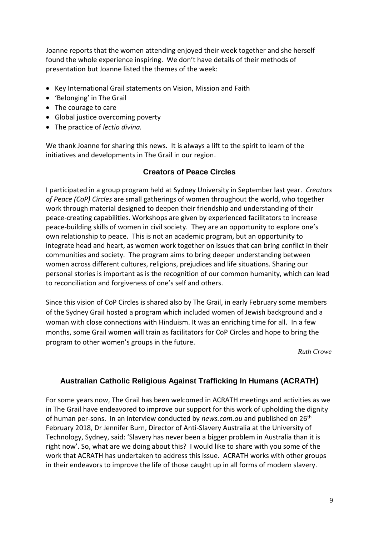Joanne reports that the women attending enjoyed their week together and she herself found the whole experience inspiring. We don't have details of their methods of presentation but Joanne listed the themes of the week:

- Key International Grail statements on Vision, Mission and Faith
- 'Belonging' in The Grail
- The courage to care
- Global justice overcoming poverty
- The practice of *lectio divina.*

We thank Joanne for sharing this news. It is always a lift to the spirit to learn of the initiatives and developments in The Grail in our region.

#### **Creators of Peace Circles**

I participated in a group program held at Sydney University in September last year. *Creators of Peace (CoP) Circles* are small gatherings of women throughout the world, who together work through material designed to deepen their friendship and understanding of their peace-creating capabilities. Workshops are given by experienced facilitators to increase peace-building skills of women in civil society. They are an opportunity to explore one's own relationship to peace. This is not an academic program, but an opportunity to integrate head and heart, as women work together on issues that can bring conflict in their communities and society. The program aims to bring deeper understanding between women across different cultures, religions, prejudices and life situations. Sharing our personal stories is important as is the recognition of our common humanity, which can lead to reconciliation and forgiveness of one's self and others.

Since this vision of CoP Circles is shared also by The Grail, in early February some members of the Sydney Grail hosted a program which included women of Jewish background and a woman with close connections with Hinduism. It was an enriching time for all. In a few months, some Grail women will train as facilitators for CoP Circles and hope to bring the program to other women's groups in the future.

*Ruth Crowe*

#### **Australian Catholic Religious Against Trafficking In Humans (ACRATH)**

For some years now, The Grail has been welcomed in ACRATH meetings and activities as we in The Grail have endeavored to improve our support for this work of upholding the dignity of human per-sons. In an interview conducted by *news.com.au* and published on 26th February 2018, Dr Jennifer Burn, Director of Anti-Slavery Australia at the University of Technology, Sydney, said: 'Slavery has never been a bigger problem in Australia than it is right now'. So, what are we doing about this? I would like to share with you some of the work that ACRATH has undertaken to address this issue. ACRATH works with other groups in their endeavors to improve the life of those caught up in all forms of modern slavery.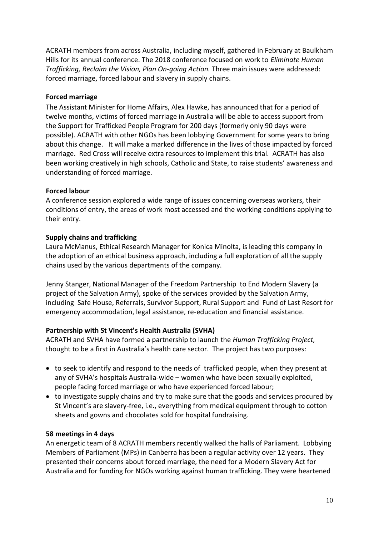ACRATH members from across Australia, including myself, gathered in February at Baulkham Hills for its annual conference. The 2018 conference focused on work to *Eliminate Human Trafficking, Reclaim the Vision, Plan On-going Action.* Three main issues were addressed: forced marriage, forced labour and slavery in supply chains.

#### **Forced marriage**

The Assistant Minister for Home Affairs, Alex Hawke, has announced that for a period of twelve months, victims of forced marriage in Australia will be able to access support from the Support for Trafficked People Program for 200 days (formerly only 90 days were possible). ACRATH with other NGOs has been lobbying Government for some years to bring about this change. It will make a marked difference in the lives of those impacted by forced marriage. Red Cross will receive extra resources to implement this trial. ACRATH has also been working creatively in high schools, Catholic and State, to raise students' awareness and understanding of forced marriage.

#### **Forced labour**

A conference session explored a wide range of issues concerning overseas workers, their conditions of entry, the areas of work most accessed and the working conditions applying to their entry.

#### **Supply chains and trafficking**

Laura McManus, Ethical Research Manager for Konica Minolta, is leading this company in the adoption of an ethical business approach, including a full exploration of all the supply chains used by the various departments of the company.

Jenny Stanger, National Manager of the Freedom Partnership to End Modern Slavery (a project of the Salvation Army), spoke of the services provided by the Salvation Army, including Safe House, Referrals, Survivor Support, Rural Support and Fund of Last Resort for emergency accommodation, legal assistance, re-education and financial assistance.

#### **Partnership with St Vincent's Health Australia (SVHA)**

ACRATH and SVHA have formed a partnership to launch the *Human Trafficking Project,* thought to be a first in Australia's health care sector. The project has two purposes:

- to seek to identify and respond to the needs of trafficked people, when they present at any of SVHA's hospitals Australia-wide – women who have been sexually exploited, people facing forced marriage or who have experienced forced labour;
- to investigate supply chains and try to make sure that the goods and services procured by St Vincent's are slavery-free, i.e., everything from medical equipment through to cotton sheets and gowns and chocolates sold for hospital fundraising.

#### **58 meetings in 4 days**

An energetic team of 8 ACRATH members recently walked the halls of Parliament. Lobbying Members of Parliament (MPs) in Canberra has been a regular activity over 12 years. They presented their concerns about forced marriage, the need for a Modern Slavery Act for Australia and for funding for NGOs working against human trafficking. They were heartened